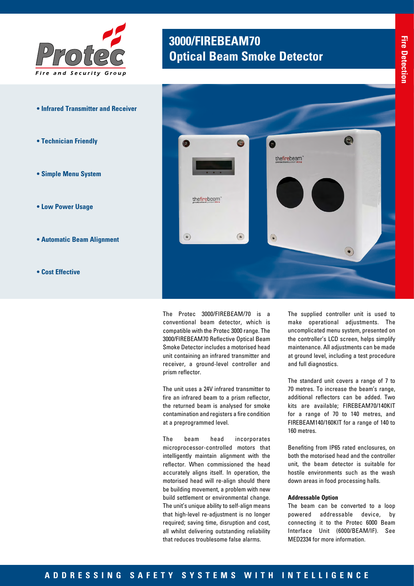

- **Infrared Transmitter and Receiver**
- **Technician Friendly**
- **Simple Menu System**
- **Low Power Usage**
- **Automatic Beam Alignment**
- **Cost Effective**

## **3000/FIREBEAM70 Optical Beam Smoke Detector**



The Protec 3000/FIREBEAM/70 is a conventional beam detector, which is compatible with the Protec 3000 range. The 3000/FIREBEAM70 Reflective Optical Beam Smoke Detector includes a motorised head unit containing an infrared transmitter and receiver, a ground-level controller and prism reflector.

The unit uses a 24V infrared transmitter to fire an infrared beam to a prism reflector, the returned beam is analysed for smoke contamination and registers a fire condition at a preprogrammed level.

The beam head incorporates microprocessor-controlled motors that intelligently maintain alignment with the reflector. When commissioned the head accurately aligns itself. In operation, the motorised head will re-align should there be building movement, a problem with new build settlement or environmental change. The unit's unique ability to self-align means that high-level re-adjustment is no longer required; saving time, disruption and cost, all whilst delivering outstanding reliability that reduces troublesome false alarms.

The supplied controller unit is used to make operational adjustments. The uncomplicated menu system, presented on the controller's LCD screen, helps simplify maintenance. All adjustments can be made at ground level, including a test procedure and full diagnostics.

The standard unit covers a range of 7 to 70 metres. To increase the beam's range, additional reflectors can be added. Two kits are available; FIREBEAM70/140KIT for a range of 70 to 140 metres, and FIREBEAM140/160KIT for a range of 140 to 160 metres.

Benefiting from IP65 rated enclosures, on both the motorised head and the controller unit, the beam detector is suitable for hostile environments such as the wash down areas in food processing halls.

## **Addressable Option**

The beam can be converted to a loop powered addressable device, by connecting it to the Protec 6000 Beam Interface Unit (6000/BEAM/IF). See MED2334 for more information.